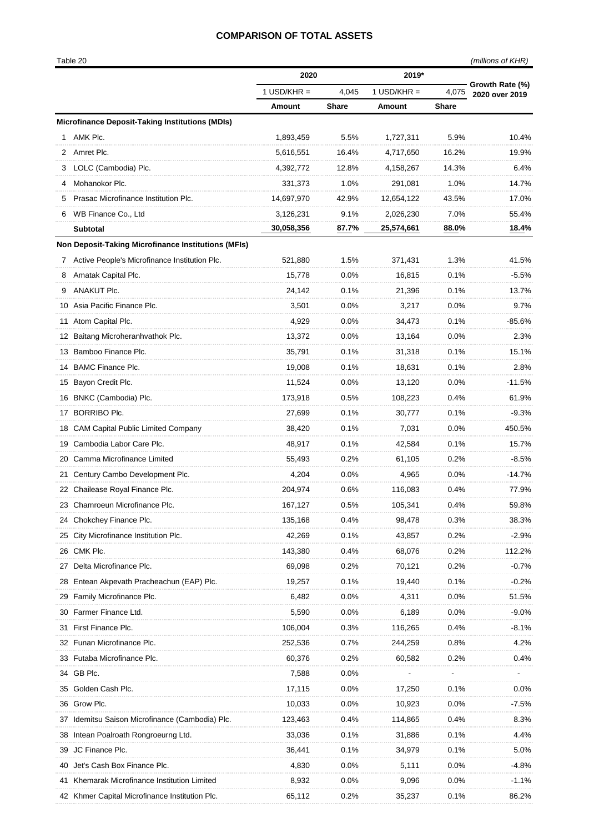## **COMPARISON OF TOTAL ASSETS**

|    |                                                        | 2020          |              | 2019*         |              |                                   |
|----|--------------------------------------------------------|---------------|--------------|---------------|--------------|-----------------------------------|
|    |                                                        | $1$ USD/KHR = | 4,045        | 1 USD/KHR $=$ | 4,075        | Growth Rate (%)<br>2020 over 2019 |
|    |                                                        | <b>Amount</b> | <b>Share</b> | Amount        | <b>Share</b> |                                   |
|    | <b>Microfinance Deposit-Taking Institutions (MDIs)</b> |               |              |               |              |                                   |
|    | AMK Plc.                                               | 1,893,459     | 5.5%         | 1,727,311     | 5.9%         | 10.4%                             |
|    | 2 Amret Plc.                                           | 5,616,551     | 16.4%        | 4,717,650     | 16.2%        | 19.9%                             |
|    | LOLC (Cambodia) Plc.                                   | 4,392,772     | 12.8%        | 4,158,267     | 14.3%        | 6.4%                              |
|    | Mohanokor Plc.                                         | 331,373       | 1.0%         | 291,081       | 1.0%         | 14.7%                             |
| 5  | Prasac Microfinance Institution Plc.                   | 14,697,970    | 42.9%        | 12,654,122    | 43.5%        | 17.0%                             |
| 6  | WB Finance Co., Ltd                                    | 3,126,231     | 9.1%         | 2,026,230     | 7.0%         | 55.4%                             |
|    | Subtotal                                               | 30,058,356    | 87.7%        | 25,574,661    | 88.0%        | 18.4%                             |
|    | Non Deposit-Taking Microfinance Institutions (MFIs)    |               |              |               |              |                                   |
|    | 7 Active People's Microfinance Institution Plc.        | 521,880       | 1.5%         | 371,431       | 1.3%         | 41.5%                             |
|    | Amatak Capital Plc.                                    | 15,778        | 0.0%         | 16,815        | 0.1%         | $-5.5%$                           |
|    | ANAKUT Plc.                                            | 24,142        | 0.1%         | 21,396        | 0.1%         | 13.7%                             |
|    | 10 Asia Pacific Finance Plc.                           | 3,501         | 0.0%         | 3,217         | 0.0%         | 9.7%                              |
|    | 11 Atom Capital Plc.                                   | 4.929         | 0.0%         | 34,473        | 0.1%         | $-85.6%$                          |
|    | 12 Baitang Microheranhvathok Plc.                      | 13,372        | 0.0%         | 13,164        | $0.0\%$      | 2.3%                              |
|    | 13 Bamboo Finance Plc.                                 | 35,791        | 0.1%         | 31,318        | 0.1%         | 15.1%                             |
|    | 14 BAMC Finance Plc.                                   | 19,008        | 0.1%         | 18,631        | 0.1%         | 2.8%                              |
|    | 15 Bayon Credit Plc.                                   | 11,524        | 0.0%         | 13,120        | $0.0\%$      | -11.5%                            |
|    | 16 BNKC (Cambodia) Plc.                                | 173,918       | 0.5%         | 108,223       | 0.4%         | 61.9%                             |
|    | 17 BORRIBO Plc.                                        | 27,699        | 0.1%         | 30,777        | 0.1%         | $-9.3%$                           |
|    | 18 CAM Capital Public Limited Company                  | 38,420        | 0.1%         | 7,031         | $0.0\%$      | 450.5%                            |
|    | 19 Cambodia Labor Care Plc.                            | 48,917        | 0.1%         | 42,584        | 0.1%         | 15.7%                             |
|    | 20 Camma Microfinance Limited                          | 55,493        | 0.2%         | 61,105        | 0.2%         | $-8.5%$                           |
|    | 21 Century Cambo Development Plc.                      | 4,204         | 0.0%         | 4,965         | 0.0%         | $-14.7%$                          |
|    | 22 Chailease Royal Finance Plc.                        | 204,974       | 0.6%         | 116,083       | 0.4%         | 77.9%                             |
|    | 23 Chamroeun Microfinance Plc.                         | 167,127       | 0.5%         | 105,341       | 0.4%         | 59.8%                             |
|    | 24 Chokchey Finance Plc.                               | 135,168       | 0.4%         | 98,478        | 0.3%         | 38.3%                             |
|    | 25 City Microfinance Institution Plc.                  | 42,269        | 0.1%         | 43,857        | $0.2\%$      | $-2.9%$                           |
|    | 26 CMK Plc.                                            | 143,380       | 0.4%         | 68,076        | 0.2%         | 112.2%                            |
|    | 27 Delta Microfinance Plc.                             | 69,098        | 0.2%         | 70,121        | 0.2%         | $-0.7\%$                          |
|    | 28 Entean Akpevath Pracheachun (EAP) Plc.              | 19,257        | 0.1%         | 19,440        | 0.1%         | $-0.2%$                           |
|    | 29 Family Microfinance Plc.                            | 6,482         | 0.0%         | 4,311         | 0.0%         | 51.5%                             |
|    | 30 Farmer Finance Ltd.                                 | 5,590         | 0.0%         | 6,189         | $0.0\%$      | $-9.0\%$                          |
|    | 31 First Finance Plc.                                  | 106,004       | 0.3%         | 116,265       | $0.4\%$      | -8.1%                             |
|    | 32 Funan Microfinance Plc.                             | 252,536       | 0.7%         | 244,259       | 0.8%         | 4.2%                              |
|    | 33 Futaba Microfinance Plc.                            | 60,376        | 0.2%         | 60,582        | 0.2%         | 0.4%                              |
|    | 34 GB Plc.                                             | 7,588         | $0.0\%$      |               |              |                                   |
|    | 35 Golden Cash Plc.                                    | 17,115        | 0.0%         | 17,250        | 0.1%         | $0.0\%$                           |
|    | 36 Grow Plc.                                           | 10,033        | 0.0%         | 10,923        | $0.0\%$      | $-7.5%$                           |
|    | 37 Idemitsu Saison Microfinance (Cambodia) Plc.        | 123,463       | 0.4%         | 114,865       | 0.4%         | 8.3%                              |
|    | 38 Intean Poalroath Rongroeurng Ltd.                   | 33,036        | 0.1%         | 31,886        | 0.1%         | 4.4%                              |
| 39 | JC Finance Plc.                                        | 36,441        | 0.1%         | 34,979        | 0.1%         | 5.0%                              |
|    | 40 Jet's Cash Box Finance Plc.                         | 4,830         | 0.0%         | 5,111         | 0.0%         | -4.8%                             |
|    | 41 Khemarak Microfinance Institution Limited           | 8,932         | 0.0%         | 9,096         | $0.0\%$      | $-1.1%$                           |
|    | 42 Khmer Capital Microfinance Institution Plc.         | 65,112        | 0.2%         | 35,237        | 0.1%         | 86.2%                             |